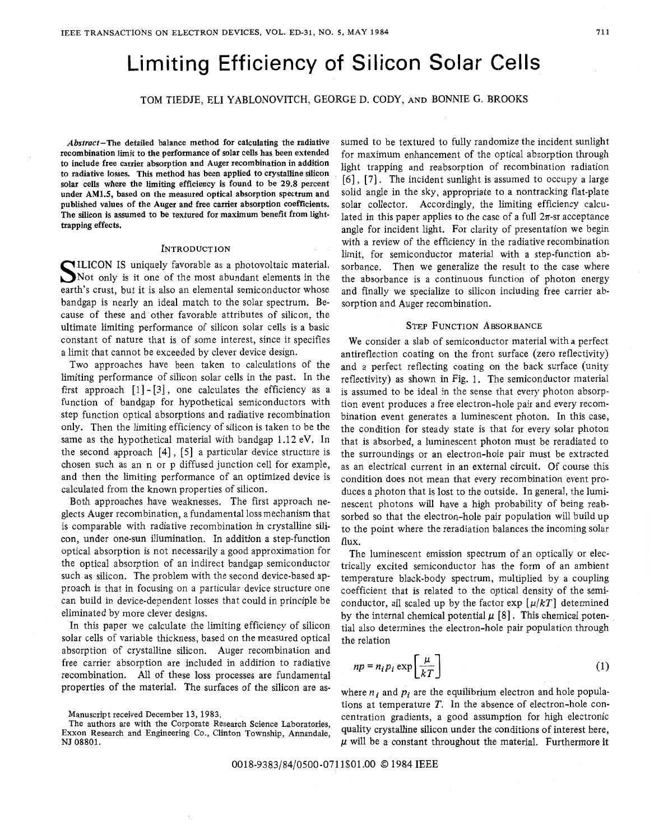# Limiting Efficiency of Silicon Solar Cells

TOM TIEDJE, ELI YABLONOVITCH, GEORGE D. CODY, AND BONNIE **G.** BROOKS

**Abstract-The detailed balance method for calculating the radiative recombination limit to the performance of solar cells has been extended to include free carrier absorption and Auger recombination in addition to radiative losses. This method has been applied to crystalline silicon solar cells where the limiting efficiency is found to be 29.8 percent under AM1.5, based on the measured optical absorption spectrum and published values of the Auger and free carrier absorption coefficients. The silicon is assumed to be textured for maximum benefit from lighttrapping effects.** 

#### INTRODUCTION

**S** ILICON IS uniquely favorable as a photovoltaic material. Not only is it one of the most abundant elements in the earth's crust, but it is also an elemental semiconductor whose bandgap is nearly an ideal match to the solar spectrum. Because of these and other favorable attributes of silicon, the ultimate limiting performance of silicon solar cells is a basic constant of nature that is of some interest, since it specifies a limit that cannot be exceeded by clever device design.

Two approaches have been taken to calculations of the limiting performance of silicon solar cells in the past. In the first approach **[l]** - **[3],** one calculates the efficiency as a function of bandgap for hypothetical semiconductors with step function optical absorptions and radiative recombination only. Then the limiting efficiency of silicon is taken to be the same as the hypothetical material with bandgap 1.12 eV. In the second approach **[4]** , **[5]** a particular device structure is chosen such as an n or p diffused junction cell for example, and then the limiting performance of an optimized device is calculated from the known properties of silicon.

Both approaches have weaknesses. The first approach neglects Auger recombination, a fundamental loss mechanism that is comparable with radiative recombination in crystalline silicon, under one-sun illumination. In addition a step-function optical absorption is not necessarily a good approximation for the optical absorption. of an indirect bandgap semiconductor such as silicon. The problem with the second device-based approach is that in focusing on a particular device structure one can build in device-dependent losses that could in principle be eliminated by more clever designs.

In this paper we calculate the limiting efficiency of silicon solar cells of variable thickness, based on the measured optical absorption of crystalline silicon. Auger recombination and free carrier absorption are included in addition to radiative recombination. All of these loss processes are fundamental properties of the material. The surfaces of the silicon are as-

**The authors are with the Corporate Research Science Laboratories, Exxon Research and Engineering** Co., **Clinton Township, Annandale, NJ 08801.** 

sumed to be textured to fully randomize the incident sunlight for maximum enhancement of the optical absorption through light trapping and reabsorption of recombination radiation [6] , *[7].* The incident sunlight is assumed to occupy a large solid angle in the sky, appropriate to a nontracking flat-plate solar collector. Accordingly, the limiting efficiency calculated in this paper applies to the case of a full  $2\pi$ -sr acceptance angle for incident light. For clarity of presentation we begin with a review of the efficiency in the radiative recombination limit, for semiconductor material with a step-function absorbance. Then we generalize the result to the case where the absorbance is a continuous function of photon energy and finally we specialize to silicon including free carrier absorption and Auger recombination.

## STEP FUNCTION ABSORBANCE

We consider a slab of semiconductor material with a perfect antireflection coating on the front surface (zero reflectivity) and a perfect reflecting coating on the back surface (unity reflectivity) as shown in Fig. 1. The semiconductor material is assumed to be ideal in the sense that every photon absorption event produces a free electron-lhole pair and every recombination event generates a luminescent photon. In this case, the condition for steady state is that for every solar photon that is absorbed, a luminescent photon must be reradiated to the surroundings or an electron-hole pair must be extracted as an electrical current in an external circuit. Of course this condition does not mean that every recombination event produces a photon that is lost to the outside. In general, the luminescent photons will have a high probability of being reabsorbed so that the electron-hole pair population will build up to the point where the reradiation balances the incoming solar flux.

The luminescent emission spectrum of an optically or electrically excited semiconductor has the form of an ambient temperature black-body spectrum, multiplied by a coupling coefficient that is related to the optical density of the semiconductor, all scaled up by the factor  $\exp\left[\mu/kT\right]$  determined by the internal chemical potential  $\mu$  [8]. This chemical potential also determines the electron-hole pair population through the relation

$$
np = n_i p_i \exp\left[\frac{\mu}{kT}\right] \tag{1}
$$

where  $n_i$  and  $p_i$  are the equilibrium electron and hole populations at temperature **T.** In the absence of electron-hole concentration gradients, a good assumption for high electronic quality crystalline silicon under the conditions of interest here, *p* will be a constant throughout the material. Furthermore it

0018-9383/84/0500-0711\$01.00 *0* **1984** IEEE

**Manuscript received December 13, 1983.**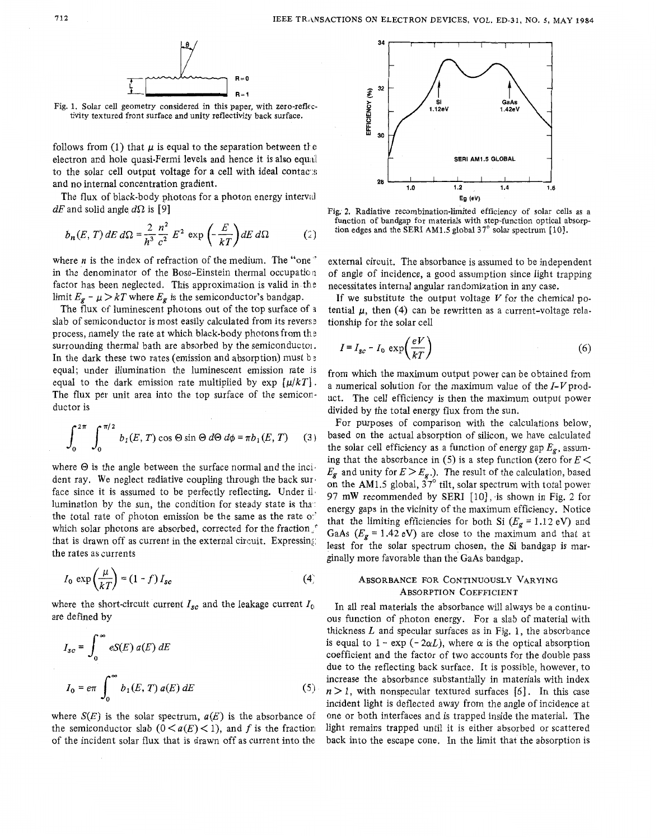

Fig. 1. Solar cell geometry considered in this paper, with zero-reflectivity textured front **surface** and unity reflectivity back surface.

follows from (1) that  $\mu$  is equal to the separation between the electron and hole quasi-Fermi levels and hence it is also equal to the solar cell output voltage for a cell with ideal contacts and no internal concentration gradient.

The flux of black-body photons for a photon energy interval  $dE$  and solid angle  $d\Omega$  is [9]

$$
b_n(E,T) dE d\Omega = \frac{2}{h^3} \frac{n^2}{c^2} E^2 \exp\left(-\frac{E}{kT}\right) dE d\Omega \tag{2}
$$

where *n* is the index of refraction of the medium. The "one" in the denominator of the Bose-Einstein thermal occupation factor has been neglected. This approximation is valid in the limit  $E_g - \mu > kT$  where  $E_g$  is the semiconductor's bandgap.

The flux of luminescent photons out of the top surface of *<sup>I</sup>* lab of semiconductor is most easily calculated from its reverse<br>process, namely the rate at which black-body photons from the<br>process of the semiconductor surrounding thermal bath are absorbed by the semiconductoi. In the dark these two rates (emission and absorption) must b **<sup>3</sup>** equal; under illumination the luminescent emission rate is equal to the dark emission rate multiplied by  $\exp \left[\mu/kT\right]$ . The flux per unit area into the top surface of the semiconductor is

$$
\int_0^{2\pi} \int_0^{\pi/2} b_1(E, T) \cos \Theta \sin \Theta \, d\Theta \, d\phi = \pi b_1(E, T) \qquad (3)
$$

where  $\Theta$  is the angle between the surface normal and the incident ray. We neglect radiative coupling through the back sur. face since it is assumed to be perfectly reflecting. Under il lumination by the sun, the condition for steady state is tha: the total rate of photon emission be the same as the rate *0:'*  which solar photons are absorbed, corrected for the fraction, that is drawn off as current in the external circuit. Expressing: the rates as currents

$$
I_0 \exp\left(\frac{\mu}{kT}\right) = (1-f) I_{sc}
$$
 (4)

where the short-circuit current  $I_{gc}$  and the leakage current  $I_0$ are defined by

$$
I_{sc} = \int_0^\infty eS(E) \, d(E) \, dE
$$
\n
$$
I_0 = e\pi \int_0^\infty b_1(E, T) \, d(E) \, dE \tag{5}
$$

where  $S(E)$  is the solar spectrum,  $a(E)$  is the absorbance of the semiconductor slab  $(0 < a(E) < 1)$ , and f is the fraction of the incident solar flux that is drawn off as current into the



Fig. **2.** Radiative recombination-limited efficiency of solar cells as a function of bandgap for materials with step-function optical absorption edges and the SERI **AM1.5** global **37"** solar spectrum [ 101.

external circuit. The absorbance is assumed to be independent of angle of incidence, a good assumption since light trapping necessitates internal angular randomization in any case.

If we substitute the output voltage  $V$  for the chemical potential  $\mu$ , then (4) can be rewritten as a current-voltage relationship for the solar cell

$$
I = I_{sc} - I_0 \exp\left(\frac{eV}{kT}\right) \tag{6}
$$

from which the maximum output power can be obtained from a numerical solution for the maximum value of the  $I-V$  product. The cell efficiency is then the maximum output power divided by the total energy flux from the sun.

For purposes of comparison with the calculations below, based on the actual absorption of silicon, we have calculated the solar cell efficiency as a function of energy gap  $E_g$ , assuming that the absorbance in (5) is a step function (zero for  $E$  <  $E_g$  and unity for  $E > E_g$ .). The result of the calculation, based on the AM1.5 global,  $37^\circ$  tilt, solar spectrum with total power 97 mW recommended by SERI [10], is shown in Fig. 2 for energy gaps in the vicinity of the maximum efficiency. Notice that the limiting efficiencies for both Si  $(E_g = 1.12 \text{ eV})$  and GaAs  $(E_g = 1.42$  eV) are close to the maximum and that at least for the solar spectrum chosen, the Si bandgap is marginally more favorable than the GaAs bandgap.

# ABSORBANCE FOR CONTINUOUSLY VARYING ABSORPTION COEFFICIENT

In all real materials the absorbance will always be a continuous function of photon energy. For a slab of material with thickness *L* and specular surfaces as in Fig. 1, the absorbance is equal to  $1 - \exp(-2\alpha L)$ , where  $\alpha$  is the optical absorption coefficient and the factor of two accounts for the double pass due to the reflecting back surface. It is possible, however, to increase the absorbance substantially in materials with index  $n > 1$ , with nonspecular textured surfaces [6]. In this case incident light is deflected away from the angle of incidence at one or both interfaces and is trapped inside the material. The light remains trapped until it is either absorbed or scattered **hack** into the escane cone. In the limit that the absorption is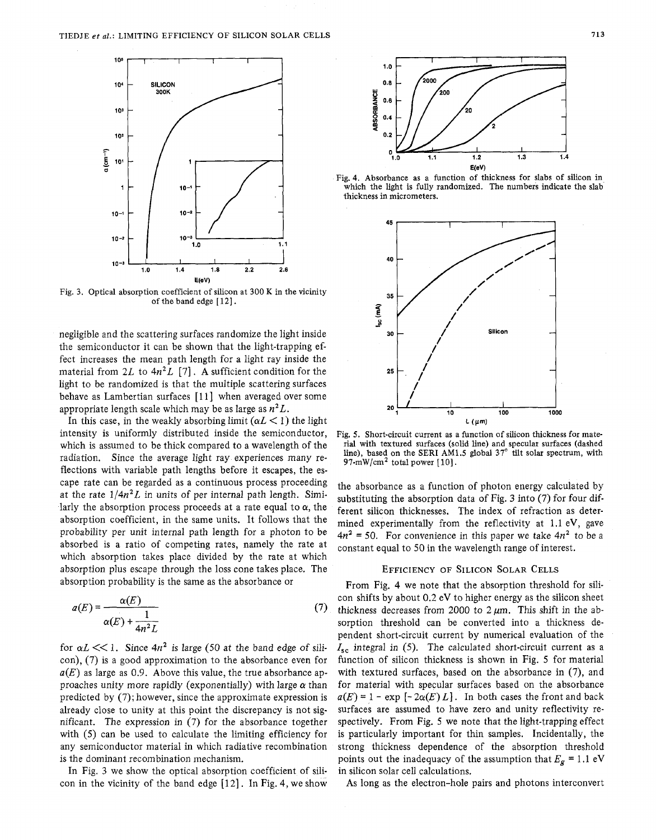

Fig. **3.** Optical absorption coefficient of silicon at 300 K in the vicinity of the band edge [12].

negligible and the scattering surfaces randomize the light inside the semiconductor it can be shown that the light-trapping effect increases the mean path length for a light ray inside the material from  $2L$  to  $4n^2L$  [7]. A sufficient condition for the light to be randomized is that the multiple scattering surfaces behave as Lambertian surfaces [11] when averaged over some appropriate length scale which may be as large as  $n^2L$ .

In this case, in the weakly absorbing limit  $(\alpha L < 1)$  the light intensity is uniformly distributed inside the semiconductor, which is assumed to be thick compared to a wavelength of the radiation. Since the average light ray experiences many reflections with variable path lengths before it escapes, the escape rate can be regarded as a continuous process proceeding at the rate  $1/4n^2L$  in units of per internal path length. Similarly the absorption process proceeds at a rate equal to  $\alpha$ , the absorption coefficient, in the same units. It follows that the probability per unit internal path length for a photon to be absorbed is a ratio of competing rates, namely the rate at which absorption takes place divided by the rate at which absorption plus escape through the loss cone takes place. The absorption probability is the same as the absorbance or

$$
a(E) = \frac{\alpha(E)}{\alpha(E) + \frac{1}{4n^2L}}
$$
 (7)

for  $\alpha L \ll 1$ . Since  $4n^2$  is large (50 at the band edge of silicon), *(7)* is a good approximation to the absorbance even for  $a(E)$  as large as 0.9. Above this value, the true absorbance approaches unity more rapidly (exponentially) with large *a* than predicted by (7); however, since the approximate expression is already close to unity at this point the discrepancy is not significant. The expression in (7) for the absorbance together with (5) can be used to calculate the limiting efficiency for any semiconductor material in which radiative recombination is the dominant recombination mechanism.

In Fig. **3** we show the optical absorption coefficient of silicon in the vicinity of the band edge  $[12]$ . In Fig. 4, we show



E(ev)<br>Fig. 4. Absorbance as a function of thickness for slabs of silicon in which the light is fully randomized. The numbers indicate the slab thickness in micrometers.



Fig. **5.** Short-circuit current as a function of silicon thickness for material with textured surfaces (solid line) and specular surfaces (dashed line), based on the SERI AM1.5 global **37"** tilt solar spectrum, with 97-mW/cm<sup>2</sup> total power  $[10]$ .

the absorbance as a function of photon energy calculated by substituting the absorption data of Fig. 3 into (7) for four different silicon thicknesses. The index of refraction as determined experimentally from the reflectivity at 1.1 eV, gave  $4n^2$  = 50. For convenience in this paper we take  $4n^2$  to be a constant equal to 50 in the wavelength range of interest.

## EFFICIENCY OF SILICON SOLAR CELLS

From Fig. 4 we note that the absorption threshold for silicon shifts by about *0.2* eV to higher energy as the silicon sheet thickness decreases from 2000 to  $2 \mu m$ . This shift in the absorption threshold can be converted into a thickness dependent short-circuit current by numerical evaluation of the  $I_{\rm sc}$  integral in (5). The calculated short-circuit current as a function of silicon thickness is shown in Fig. *5* for material with textured surfaces, based on the absorbance in *(7),* and for material with specular surfaces based on the absorbance  $a(E) = 1 - \exp[-2\alpha(E)L]$ . In both cases the front and back surfaces are assumed to have zero and unity reflectivity respectively. From Fig. *5* we note that the light-trapping effect is particularly important for thin samples. Incidentally, the strong thickness dependence of the absorption threshold points out the inadequacy of the assumption that  $E_g = 1.1 \text{ eV}$ in silicon solar cell calculations.

As long as the electron-hole pairs and photons interconvert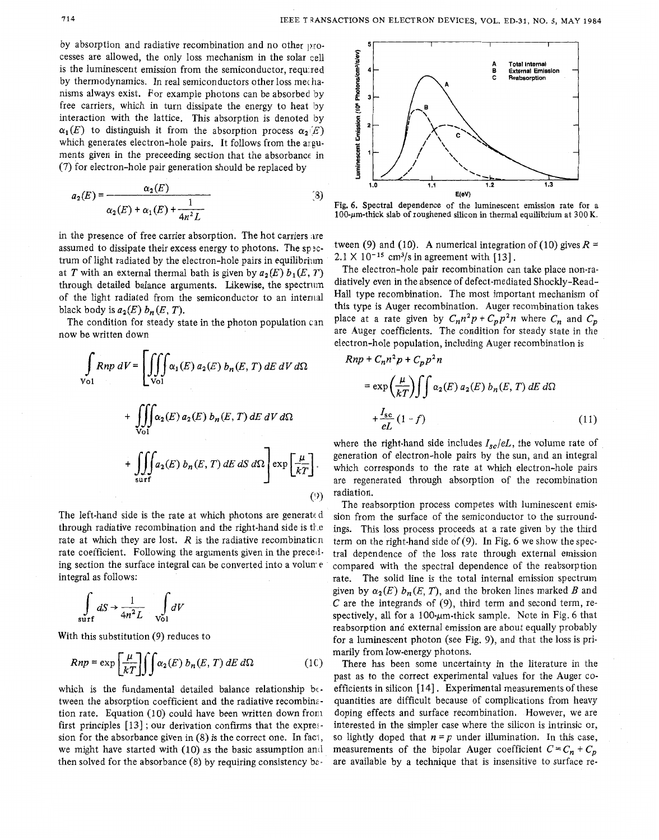by absorption and radiative recombination and no other Drocesses are allowed, the only loss mechanism in the solar cell is the luminescent emission from the semiconductor, requ:red by thermodynamics. In real semiconductors other loss mechanisms always exist. For example photons can be absorbed 'by free carriers, which in turn dissipate the energy to heat by interaction with the lattice. This absorption is denoted by  $\alpha_1(E)$  to distinguish it from the absorption process  $\alpha_2(E)$ which generates electron-hole pairs. It follows from the arguments given in the preceeding section that the absorbancc in (7) for electron-hole pair generation should be replaced by

$$
a_2(E) = \frac{\alpha_2(E)}{\alpha_2(E) + \alpha_1(E) + \frac{1}{4n^2L}}
$$
(3)

in the presence of free carrier absorption. The hot carriers are assumed to dissipate their excess energy to photons. The spectrum of light radiated by the electron-hole pairs in equilibrium at *T* with an external thermal bath is given by  $a_2(E) b_1(E, T)$ through detailed balance arguments. Likewise, the spectrum of the light radiated from the semiconductor to an internal black body is  $a_2(E)$   $b_n(E, T)$ .

The condition for steady state in the photon population can now be written down

$$
\int_{\text{Vol}} Rnp \, dV = \left[ \iiint_{\text{Vol}} \alpha_1(E) \, a_2(E) \, b_n(E, T) \, dE \, dV \, d\Omega \right. \\
\left. + \iiint_{\text{Vol}} \alpha_2(E) \, a_2(E) \, b_n(E, T) \, dE \, dV \, d\Omega \right. \\
\left. + \iiint_{\text{surf}} \alpha_2(E) \, b_n(E, T) \, dE \, dS \, d\Omega \right] \exp \left[ \frac{\mu}{kT} \right].
$$
\n(9)

The left-hand side is the rate at which photons are generated through radiative recombination and the right-hand side is  $t_1$ .e rate at which they are lost.  $R$  is the radiative recombination rate coefficient. Following the arguments given in the preced*ing* section the surface integral can be converted into a volun e integral as follows:

$$
\int\limits_{\text{surf}} dS \rightarrow \frac{1}{4n^2L} \int\limits_{\text{Vol}} dV
$$

With this substitution (9) reduces to

$$
Rnp = \exp\left[\frac{\mu}{kT}\right] \iint \alpha_2(E) \, b_n(E,T) \, dE \, d\Omega \tag{10}
$$

which is the fundamental detailed balance relationship between the absorption coefficient and the radiative recombin: tion rate. Equation (10) could have been written down from first principles  $[13]$ ; our derivation confirms that the expression for the absorbance given in  $(8)$  is the correct one. In fact, we might have started with (10) as the basic assumption and then solved for the absorbance  $(8)$  by requiring consistency be-



Fig. *6.* Spectral dependence of the luminescent emission rate for a  $100$ - $\mu$ m-thick slab of roughened silicon in thermal equilibrium at 300 K.

tween (9) and (10). A numerical integration of (10) gives  $R =$  $2.1 \times 10^{-15}$  cm<sup>3</sup>/s in agreement with [13].

The electron-hole pair recombination can take place non-radiatively even in the absence of defect-mediated Shockly-Read-Hall type recombination. The most important mechanism of this type is Auger recombination. Auger recombination takes place at a rate given by  $C_n n^2 p + C_p p^2 n$  where  $C_n$  and  $C_p$ are Auger coefficients. The condition for steady state in the electron-hole population, including Auger recombination is

$$
Rnp + C_n n^2 p + C_p p^2 n
$$
  
=  $\exp\left(\frac{\mu}{kT}\right) \int \int \alpha_2(E) a_2(E) b_n(E, T) dE d\Omega$   
+  $\frac{I_{\text{sc}}}{eL} (1 - f)$  (11)

where the right-hand side includes  $I_{sc}/eL$ , the volume rate of generation of electron-hole pairs by the sun, and an integral which corresponds to the rate at which electron-hole pairs are regenerated through absorption of the recombination radiation.

The reabsorption process competes with luminescent emission from the surface of the semiconductor to the surroundings. This loss process proceeds at a rate given by the third term on the right-hand side of (9). In Fig. 6 we show the spectral dependence of the loss rate through external emission compared with the spectral dependence of the reabsorption rate. The solid line is the total internal emission spectrum given by  $\alpha_2(E)$   $b_n(E, T)$ , and the broken lines marked *B* and  $C$  are the integrands of  $(9)$ , third term and second term, respectively, all for a 100- $\mu$ m-thick sample. Note in Fig. 6 that reabsorption and external emission are about equally probably for a luminescent photon (see Fig. 9), and that the loss is primarily from low-energy photons.

There has been some uncertainty in the literature in the past as to the correct experimental values for the Auger coefficients in silicon [14]. Experimental measurements of these quantities are difficult because of complications from heavy doping effects and surface recombination. However, we are interested in the simpler case where the silicon is intrinsic or, so lightly doped that  $n = p$  under illumination. In this case, measurements of the bipolar Auger coefficient  $C = C_n + C_p$ are available by a technique that is insensitive to surface re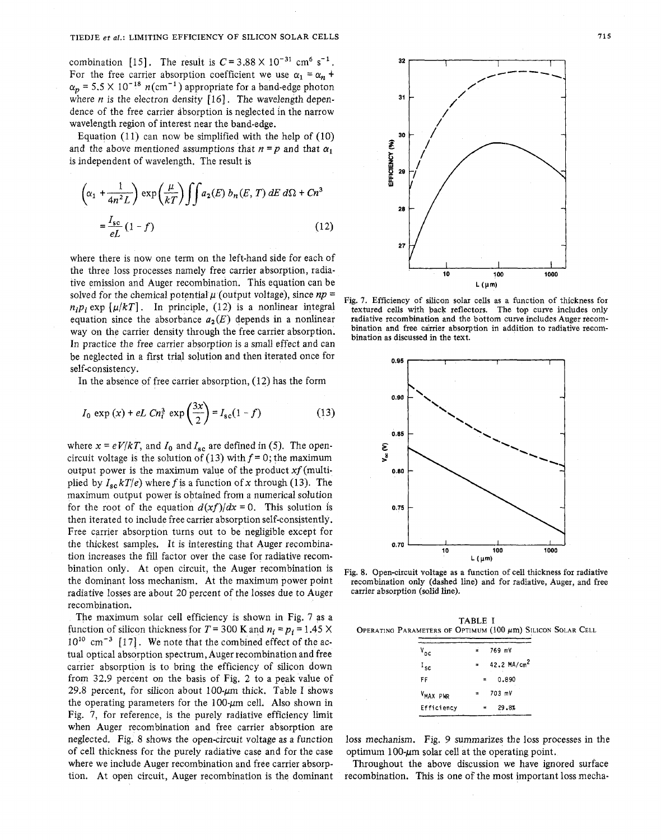combination [15]. The result is  $C = 3.88 \times 10^{-31}$  cm<sup>6</sup> s<sup>-1</sup>. For the free carrier absorption coefficient we use  $\alpha_1 = \alpha_n + \cdots$  $\alpha_p$  = 5.5 × 10<sup>-18</sup>  $n$ (cm<sup>-1</sup>) appropriate for a band-edge photon where *n* is the electron density [16]. The wavelength dependence of the free carrier absorption is neglected in the narrow wavelength region of interest near the band-edge.

Equation (11) can now be simplified with the help of (10) and the above mentioned assumptions that  $n = p$  and that  $\alpha_1$ is independent of wavelength. The result is

$$
\left(\alpha_1 + \frac{1}{4n^2L}\right) \exp\left(\frac{\mu}{kT}\right) \iint a_2(E) b_n(E, T) dE d\Omega + Cn^3
$$
  
=  $\frac{I_{\text{sc}}}{eL} (1 - f)$  (12)

where there is now one term on the left-hand side for each of the three loss processes namely free carrier absorption, radiative emission and Auger recombination. This equation can be solved for the chemical potential  $\mu$  (output voltage), since  $np =$  $n_i p_i$  exp  $\lceil \mu/kT \rceil$ . In principle, (12) is a nonlinear integral equation since the absorbance  $a_2(E)$  depends in a nonlinear way on the carrier density through the free carrier absorption. In practice the free carrier absorption is a small effect and can be neglected in a first trial solution and then iterated once for self-consistency.

In the absence of free carrier absorption, *(12)* has the form

$$
I_0 \exp(x) + eL \ C n_i^3 \ \exp\left(\frac{3x}{2}\right) = I_{\rm sc}(1 - f) \tag{13}
$$

where  $x = eV/kT$ , and  $I_0$  and  $I_{\rm sc}$  are defined in (5). The opencircuit voltage is the solution of (13) with  $f = 0$ ; the maximum output power is the maximum value of the product  $xf$  (multiplied by  $I_{sc}kT/e$ ) where f is a function of x through (13). The maximum output power is obtained from a numerical solution for the root of the equation  $d(xf)/dx = 0$ . This solution is then iterated to include free carrier absorption self-consistently. Free carrier absorption turns out to be negligible except for the thickest samples. It is interesting that Auger recombination increases the fill factor over the case for radiative recombination only. At open circuit, the Auger recombination is the dominant loss mechanism. At the maximum power point radiative losses are about 20 percent of the losses due to Auger recombination.

The maximum solar cell efficiency is shown in Fig. 7 as a function of silicon thickness for  $T = 300$  **K** and  $n_i = p_i = 1.45$  X  $10^{10}$  cm<sup>-3</sup> [17]. We note that the combined effect of the actual optical absorption spectrum, Auger recombination and free carrier absorption is to bring the efficiency of silicon down from 32.9 percent on the basis of Fig. *2* to a peak value of 29.8 percent, for silicon about  $100$ - $\mu$ m thick. Table I shows the operating parameters for the 100- $\mu$ m cell. Also shown in Fig. 7, for reference, is the purely radiative efficiency limit when Auger recombination and free carrier absorption are neglected. Fig. 8 shows the open-circuit voltage as a function of cell thickness for the purely radiative case and for the case where we include Auger recombination and free carrier absorption. At open circuit, Auger recombination is the dominant



Fig. **7.** Efficiency of silicon solar cells as a function of thickness for textured cells with back reflectors. The top curve includes only radiative recombination and the bottom curve includes Auger recombination and free carrier absorption in addition to radiative recombination as discussed in the text.



Fig. 8. Open-circuit voltage as a function of cell thickness for radiative recombination only (dashed line) and for radiative, Auger, and free carrier absorption (solid line).

**TABLE** I OPERATING PARAMETERS OF OPTIMUM (100  $\mu$ m) Silicon Solar Cell **and Silicon** 

| $v_{\alpha c}$       | 769 mV                  |  |
|----------------------|-------------------------|--|
| $I_{sc}$             | 42.2 MA/cm <sup>2</sup> |  |
| FF                   | 0.890<br>$\equiv$       |  |
| V <sub>MAX</sub> PWR | 703 mV                  |  |
| Efficiency           | 29.8%                   |  |

loss mechanism. Fig. 9 summarizes the loss processes in the optimum 100- $\mu$ m solar cell at the operating point.

Throughout the above discussion we have ignored surface recombination. This is one of the most important loss mecha-